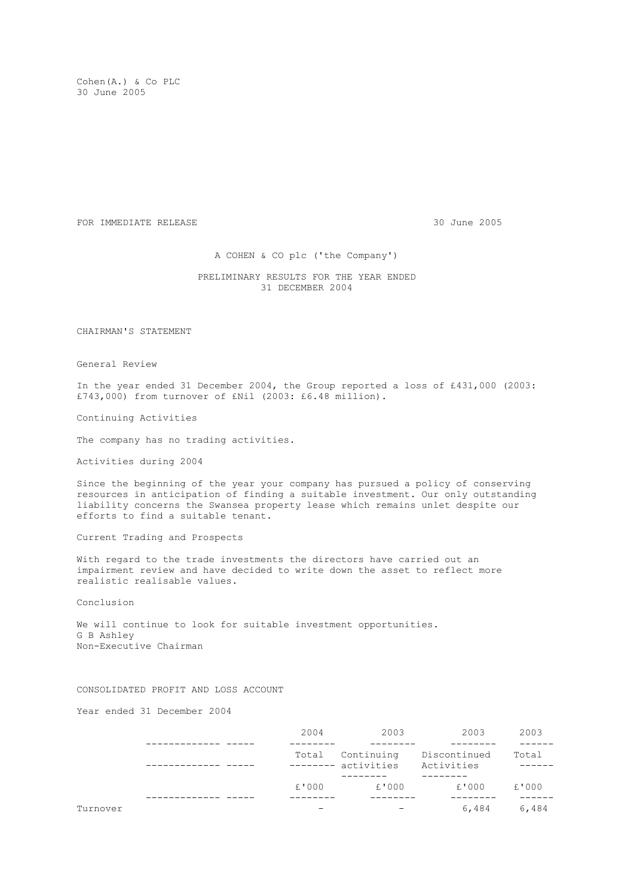Cohen(A.) & Co PLC 30 June 2005

FOR IMMEDIATE RELEASE 30 June 2005

A COHEN & CO plc ('the Company')

 PRELIMINARY RESULTS FOR THE YEAR ENDED 31 DECEMBER 2004

CHAIRMAN'S STATEMENT

General Review

In the year ended 31 December 2004, the Group reported a loss of £431,000 (2003: £743,000) from turnover of £Nil (2003: £6.48 million).

Continuing Activities

The company has no trading activities.

Activities during 2004

Since the beginning of the year your company has pursued a policy of conserving resources in anticipation of finding a suitable investment. Our only outstanding liability concerns the Swansea property lease which remains unlet despite our efforts to find a suitable tenant.

Current Trading and Prospects

With regard to the trade investments the directors have carried out an impairment review and have decided to write down the asset to reflect more realistic realisable values.

Conclusion

We will continue to look for suitable investment opportunities. G B Ashley Non-Executive Chairman

CONSOLIDATED PROFIT AND LOSS ACCOUNT

Year ended 31 December 2004

|          |  | 2004                                                            | 2003  | 2003  | 2003  |  |
|----------|--|-----------------------------------------------------------------|-------|-------|-------|--|
|          |  | Total Continuing Discontinued<br>-------- activities Activities |       |       | Total |  |
|          |  | £'000                                                           | £'000 | £'000 | £'000 |  |
| Turnover |  |                                                                 |       | 6,484 | 6,484 |  |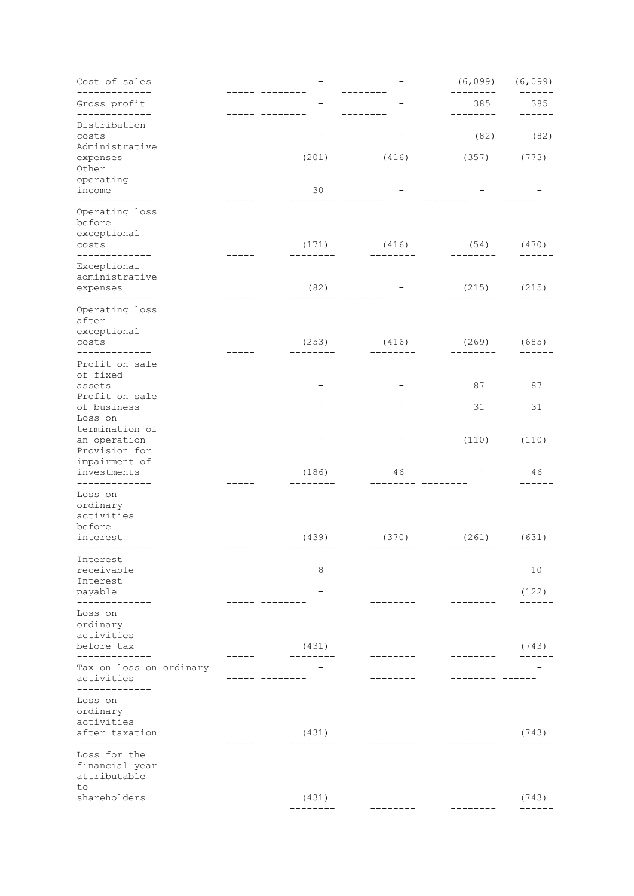| Cost of sales<br>------------                                  |                   |                   | (6,099)            | (6,099)            |
|----------------------------------------------------------------|-------------------|-------------------|--------------------|--------------------|
| Gross profit<br>. <u>.</u> .                                   |                   |                   | 385                | 385                |
| Distribution<br>costs<br>Administrative                        |                   |                   | (82)               | (82)               |
| expenses<br>Other<br>operating                                 | (201)             | (416)             | (357)              | (773)              |
| income<br>-------------                                        | 30                |                   |                    |                    |
| Operating loss<br>before<br>exceptional                        |                   |                   |                    |                    |
| costs<br>.                                                     | (171)             | (416)             | (54)<br>--------   | (470)              |
| Exceptional<br>administrative<br>expenses                      | (82)              |                   | (215)              | (215)              |
| -------------<br>Operating loss<br>after                       |                   |                   |                    |                    |
| exceptional<br>costs<br>--------------                         | (253)             | (416)<br>-------- | (269)<br>--------- | (685)              |
| Profit on sale<br>of fixed<br>assets                           |                   |                   | 87                 | 87                 |
| Profit on sale<br>of business<br>Loss on                       |                   |                   | 31                 | 31                 |
| termination of<br>an operation<br>Provision for                |                   |                   | (110)              | (110)              |
| impairment of<br>investments<br>-------------                  | (186)             | 46                |                    | 46                 |
| Loss on<br>ordinary<br>activities<br>before                    |                   |                   |                    |                    |
| interest<br>. <u>.</u>                                         | (439)             | (370)<br>$- - -$  | (261)<br>________  | (631)              |
| Interest<br>receivable<br>Interest                             | 8                 |                   |                    | 10                 |
| payable<br>-----                                               |                   |                   |                    | (122)              |
| Loss on<br>ordinary<br>activities                              |                   |                   |                    |                    |
| before tax                                                     | (431)             |                   |                    | (743)              |
| Tax on loss on ordinary<br>activities<br>------------          |                   |                   | ---                |                    |
| Loss on<br>ordinary<br>activities<br>after taxation            | (431)             |                   |                    | (743)              |
| ____________<br>Loss for the<br>financial year<br>attributable |                   |                   |                    |                    |
| to<br>shareholders                                             | (431)<br>-------- |                   |                    | (743)<br>$- - - -$ |
|                                                                |                   |                   |                    |                    |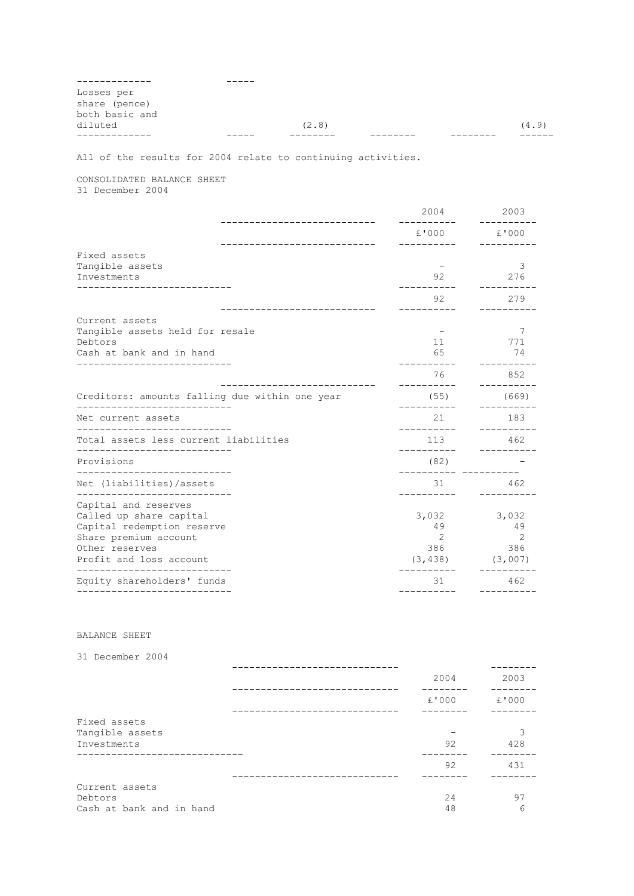| Losses per     |       |  |       |
|----------------|-------|--|-------|
| share (pence)  |       |  |       |
| both basic and |       |  |       |
| diluted        | (2.8) |  | (4.9) |
|                |       |  |       |

All of the results for 2004 relate to continuing activities.

CONSOLIDATED BALANCE SHEET 31 December 2004

 2004 2003 --------------------------- ---------- ---------- £'000 £'000 --------------------------- ---------- ---------- Fixed assets Tangible assets and the set of the set of the set of the set of the set of the set of the set of the set of the set of the set of the set of the set of the set of the set of the set of the set of the set of the set of the Investments 92 276 --------------------------- ---------- ---------- 92 279 --------------------------- ---------- ---------- Current assets Tangible assets held for resale  $\overline{7}$  and  $\overline{7}$   $\overline{7}$   $\overline{7}$   $\overline{7}$   $\overline{7}$   $\overline{7}$   $\overline{7}$   $\overline{7}$   $\overline{7}$   $\overline{7}$   $\overline{7}$   $\overline{7}$   $\overline{7}$   $\overline{7}$   $\overline{7}$   $\overline{7}$   $\overline{7}$   $\overline{7}$   $\overline{7}$   $\overline{7$ Debtors 11 771 Cash at bank and in hand  $74$ --------------------------- ---------- ---------- **76** 852 --------------------------- ---------- ---------- Creditors: amounts falling due within one year (55) (669) --------------------------- ---------- ---------- Net current assets 21 183 --------------------------- ---------- ---------- Total assets less current liabilities 113 462 --------------------------- ---------- ---------- Provisions (82) - --------------------------- ---------- ---------- Net (liabilities)/assets 31 462 --------------------------- ---------- ---------- Capital and reserves Called up share capital 3,032 3,032<br>Capital redemption reserve 49 3,032 49 Capital redemption reserve Share premium account 2 2<br>
Other reserves 386 386 Other reserves 386 386 386<br>Profit and loss account (3,007) 386 386 386 386 Profit and loss account (3,438) (3,007) --------------------------- ---------- ---------- Equity shareholders' funds 31 462 --------------------------- ---------- ----------

## BALANCE SHEET

| 31 December 2004                                      |          |          |
|-------------------------------------------------------|----------|----------|
|                                                       | 2004     | 2003     |
|                                                       | £'000    | £'000    |
| Fixed assets<br>Tangible assets<br>Investments        | 92       | 3<br>428 |
|                                                       | 92       | 431      |
| Current assets<br>Debtors<br>Cash at bank and in hand | 24<br>48 | 97<br>6  |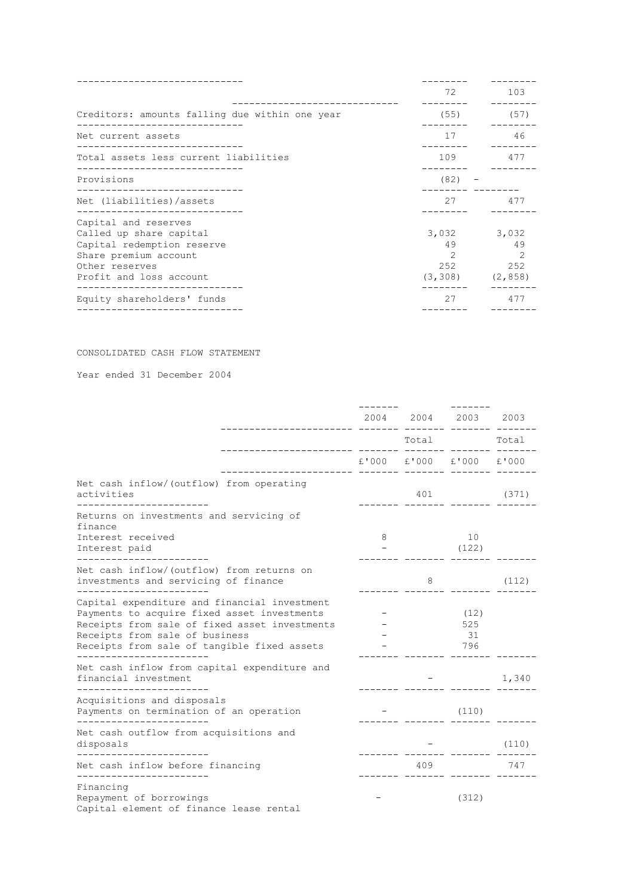|                                                                                                                                                     | 72                                                           | 103                                 |
|-----------------------------------------------------------------------------------------------------------------------------------------------------|--------------------------------------------------------------|-------------------------------------|
| Creditors: amounts falling due within one year                                                                                                      | (55)                                                         | (57)                                |
| Net current assets                                                                                                                                  | 17                                                           | 46                                  |
| Total assets less current liabilities                                                                                                               | 109                                                          | 477                                 |
| Provisions<br>_________________________                                                                                                             | $(82) -$                                                     |                                     |
| Net (liabilities)/assets                                                                                                                            | 27                                                           | 477                                 |
| Capital and reserves<br>Called up share capital<br>Capital redemption reserve<br>Share premium account<br>Other reserves<br>Profit and loss account | 3,032<br>49<br>$\mathcal{P}$<br>252<br>$(3, 308)$ $(2, 858)$ | 3,032<br>49<br>$\mathcal{L}$<br>252 |
| .<br>Equity shareholders' funds                                                                                                                     | 27                                                           | 477                                 |
|                                                                                                                                                     |                                                              |                                     |

## CONSOLIDATED CASH FLOW STATEMENT

Year ended 31 December 2004

|                                                                                                                                                                                                                                                         |          |       | 2004 2004 2003 2003                 |                  |
|---------------------------------------------------------------------------------------------------------------------------------------------------------------------------------------------------------------------------------------------------------|----------|-------|-------------------------------------|------------------|
|                                                                                                                                                                                                                                                         | ________ | Total |                                     | Total            |
| .___________________ _______ _______                                                                                                                                                                                                                    |          |       | £'000 £'000 £'000 £'000<br>---- -   |                  |
| Net cash inflow/(outflow) from operating<br>activities                                                                                                                                                                                                  |          |       | 401 (371)<br>.____  _______  _____. |                  |
| Returns on investments and servicing of<br>finance                                                                                                                                                                                                      |          |       |                                     |                  |
| Interest received<br>Interest paid                                                                                                                                                                                                                      | 8        |       | 10<br>(122)                         |                  |
| Net cash inflow/(outflow) from returns on<br>investments and servicing of finance<br>_____________________                                                                                                                                              |          | 8     |                                     | (112)            |
| Capital expenditure and financial investment<br>Payments to acquire fixed asset investments<br>Receipts from sale of fixed asset investments<br>Receipts from sale of business<br>Receipts from sale of tangible fixed assets<br>._____________________ |          |       | (12)<br>525<br>31<br>796            |                  |
| Net cash inflow from capital expenditure and<br>financial investment                                                                                                                                                                                    |          |       |                                     | 1,340            |
| ----------------------<br>Acquisitions and disposals<br>Payments on termination of an operation<br>---------------------                                                                                                                                |          |       | (110)                               |                  |
| Net cash outflow from acquisitions and<br>disposals<br>______________________                                                                                                                                                                           |          |       |                                     | (110)            |
| Net cash inflow before financing                                                                                                                                                                                                                        |          | 409   |                                     | 747<br>---- ---- |
| Financing<br>Repayment of borrowings<br>Capital element of finance lease rental                                                                                                                                                                         |          |       | (312)                               |                  |